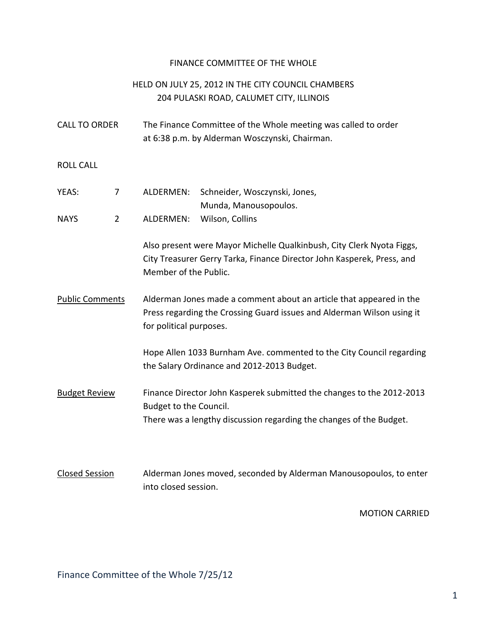## FINANCE COMMITTEE OF THE WHOLE

## HELD ON JULY 25, 2012 IN THE CITY COUNCIL CHAMBERS 204 PULASKI ROAD, CALUMET CITY, ILLINOIS

| <b>CALL TO ORDER</b> | The Finance Committee of the Whole meeting was called to order |
|----------------------|----------------------------------------------------------------|
|                      | at 6:38 p.m. by Alderman Wosczynski, Chairman.                 |

ROLL CALL

| YEAS: | $\mathcal{I}$ | ALDERMEN: Schneider, Wosczynski, Jones, |
|-------|---------------|-----------------------------------------|
|       |               | Munda, Manousopoulos.                   |
| NAYS. |               | ALDERMEN: Wilson, Collins               |

Also present were Mayor Michelle Qualkinbush, City Clerk Nyota Figgs, City Treasurer Gerry Tarka, Finance Director John Kasperek, Press, and Member of the Public.

Public Comments Alderman Jones made a comment about an article that appeared in the Press regarding the Crossing Guard issues and Alderman Wilson using it for political purposes.

> Hope Allen 1033 Burnham Ave. commented to the City Council regarding the Salary Ordinance and 2012-2013 Budget.

- Budget Review Finance Director John Kasperek submitted the changes to the 2012-2013 Budget to the Council. There was a lengthy discussion regarding the changes of the Budget.
- Closed Session Alderman Jones moved, seconded by Alderman Manousopoulos, to enter into closed session.

MOTION CARRIED

Finance Committee of the Whole 7/25/12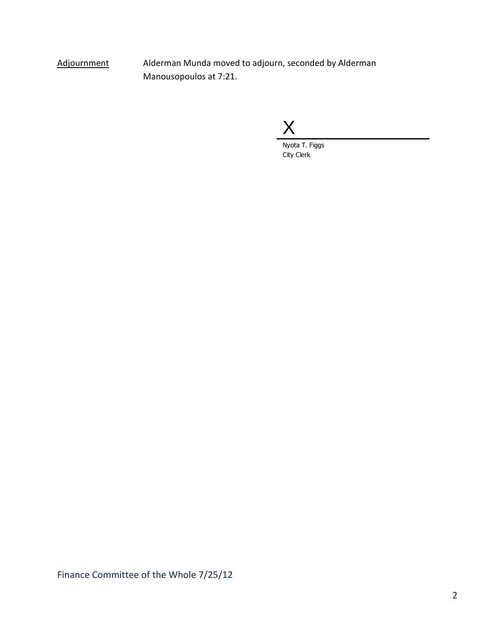Adjournment Alderman Munda moved to adjourn, seconded by Alderman Manousopoulos at 7:21.

X

Nyota T. Figgs City Clerk

Finance Committee of the Whole 7/25/12